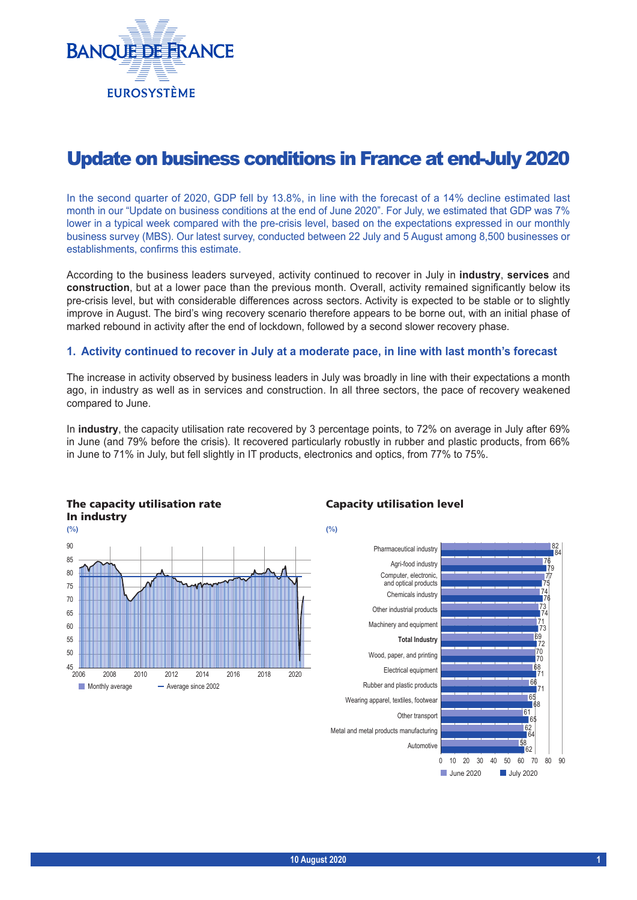

# Update on business conditions in France at end-July 2020

In the second quarter of 2020, GDP fell by 13.8%, in line with the forecast of a 14% decline estimated last month in our "Update on business conditions at the end of June 2020". For July, we estimated that GDP was 7% lower in a typical week compared with the pre-crisis level, based on the expectations expressed in our monthly business survey (MBS). Our latest survey, conducted between 22 July and 5 August among 8,500 businesses or establishments, confirms this estimate.

According to the business leaders surveyed, activity continued to recover in July in **industry**, **services** and **construction**, but at a lower pace than the previous month. Overall, activity remained significantly below its pre‑crisis level, but with considerable differences across sectors. Activity is expected to be stable or to slightly improve in August. The bird's wing recovery scenario therefore appears to be borne out, with an initial phase of marked rebound in activity after the end of lockdown, followed by a second slower recovery phase.

### **1. Activity continued to recover in July at a moderate pace, in line with last month's forecast**

The increase in activity observed by business leaders in July was broadly in line with their expectations a month ago, in industry as well as in services and construction. In all three sectors, the pace of recovery weakened compared to June.

In **industry**, the capacity utilisation rate recovered by 3 percentage points, to 72% on average in July after 69% in June (and 79% before the crisis). It recovered particularly robustly in rubber and plastic products, from 66% in June to 71% in July, but fell slightly in IT products, electronics and optics, from 77% to 75%.



#### Capacity utilisation level

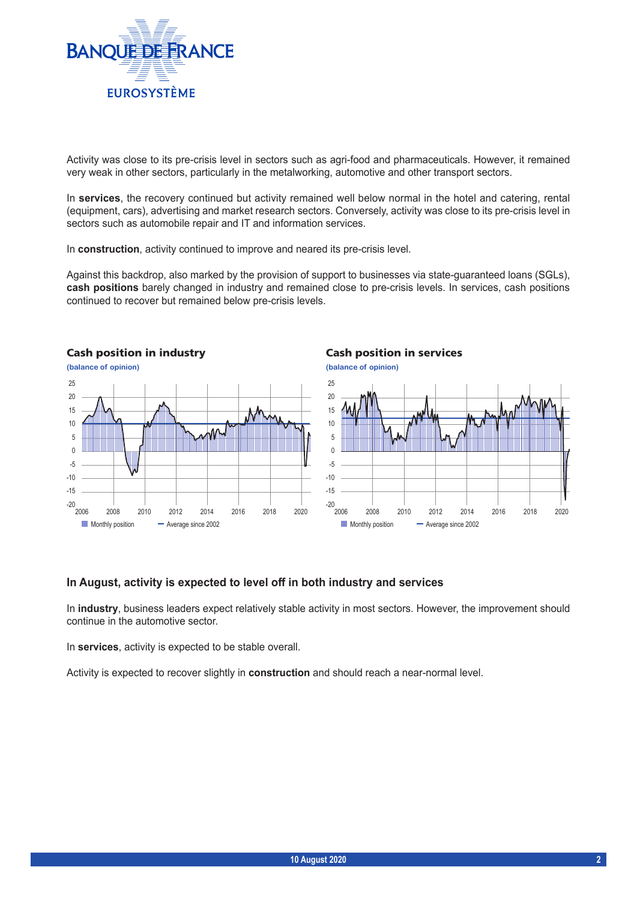

Activity was close to its pre-crisis level in sectors such as agri-food and pharmaceuticals. However, it remained very weak in other sectors, particularly in the metalworking, automotive and other transport sectors.

In **services**, the recovery continued but activity remained well below normal in the hotel and catering, rental (equipment, cars), advertising and market research sectors. Conversely, activity was close to its pre‑crisis level in sectors such as automobile repair and IT and information services.

In **construction**, activity continued to improve and neared its pre-crisis level.

Against this backdrop, also marked by the provision of support to businesses via state-guaranteed loans (SGLs), **cash positions** barely changed in industry and remained close to pre‑crisis levels. In services, cash positions continued to recover but remained below pre-crisis levels.



#### **In August, activity is expected to level off in both industry and services**

In **industry**, business leaders expect relatively stable activity in most sectors. However, the improvement should continue in the automotive sector.

In **services**, activity is expected to be stable overall.

Activity is expected to recover slightly in **construction** and should reach a near‑normal level.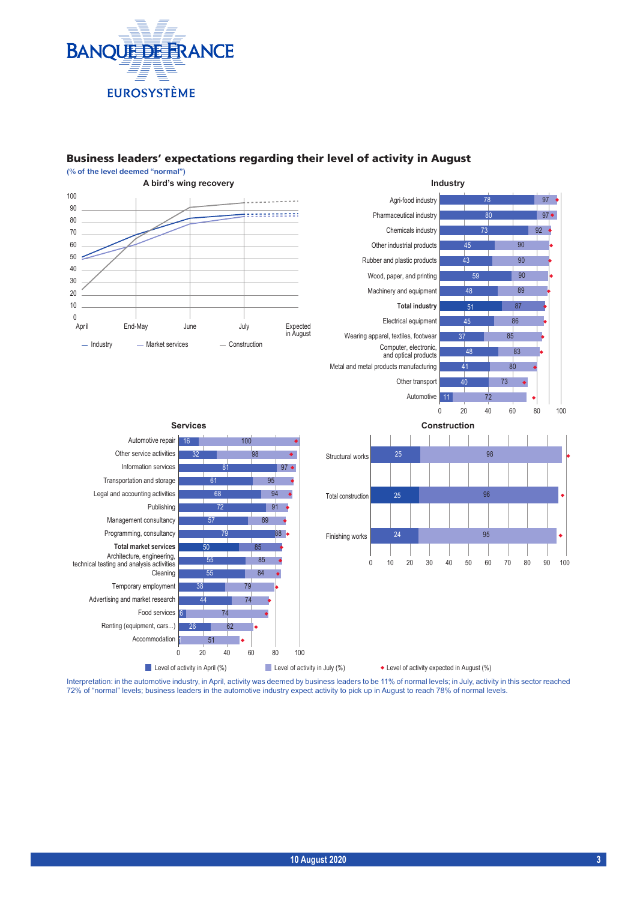

## Business leaders' expectations regarding their level of activity in August



Interpretation: in the automotive industry, in April, activity was deemed by business leaders to be 11% of normal levels; in July, activity in this sector reached 72% of "normal" levels; business leaders in the automotive industry expect activity to pick up in August to reach 78% of normal levels.